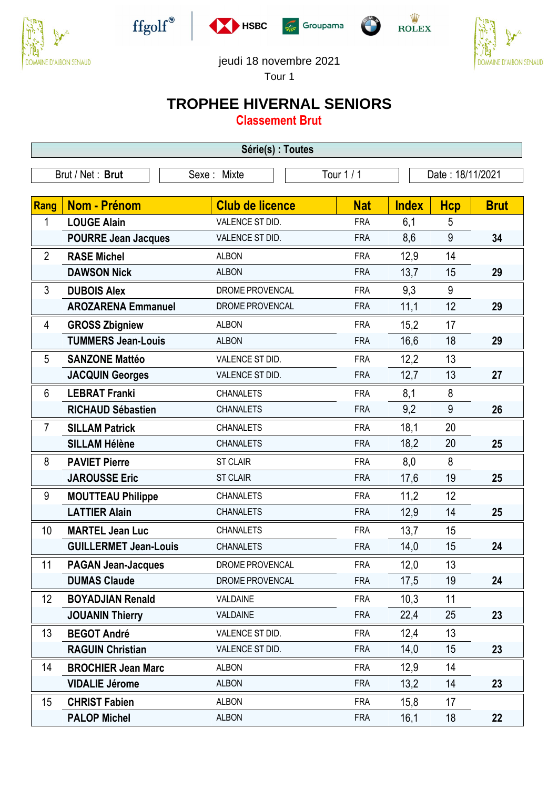











## jeudi 18 novembre 2021

Tour 1

## **TROPHEE HIVERNAL SENIORS**

**Classement Brut**

| Série(s) : Toutes |                              |                        |            |              |                  |             |  |
|-------------------|------------------------------|------------------------|------------|--------------|------------------|-------------|--|
|                   | Brut / Net: Brut             | Sexe: Mixte            | Tour 1 / 1 |              | Date: 18/11/2021 |             |  |
| Rang              | Nom - Prénom                 | <b>Club de licence</b> | <b>Nat</b> | <b>Index</b> | <b>Hcp</b>       | <b>Brut</b> |  |
| 1                 | <b>LOUGE Alain</b>           | VALENCE ST DID.        | <b>FRA</b> | 6,1          | 5                |             |  |
|                   | <b>POURRE Jean Jacques</b>   | VALENCE ST DID.        | <b>FRA</b> | 8,6          | 9                | 34          |  |
| $\overline{2}$    | <b>RASE Michel</b>           | <b>ALBON</b>           | <b>FRA</b> | 12,9         | 14               |             |  |
|                   | <b>DAWSON Nick</b>           | <b>ALBON</b>           | <b>FRA</b> | 13,7         | 15               | 29          |  |
| 3                 | <b>DUBOIS Alex</b>           | DROME PROVENCAL        | <b>FRA</b> | 9,3          | 9                |             |  |
|                   | <b>AROZARENA Emmanuel</b>    | DROME PROVENCAL        | <b>FRA</b> | 11,1         | 12               | 29          |  |
| 4                 | <b>GROSS Zbigniew</b>        | <b>ALBON</b>           | <b>FRA</b> | 15,2         | 17               |             |  |
|                   | <b>TUMMERS Jean-Louis</b>    | <b>ALBON</b>           | <b>FRA</b> | 16,6         | 18               | 29          |  |
| 5                 | <b>SANZONE Mattéo</b>        | VALENCE ST DID.        | <b>FRA</b> | 12,2         | 13               |             |  |
|                   | <b>JACQUIN Georges</b>       | VALENCE ST DID.        | <b>FRA</b> | 12,7         | 13               | 27          |  |
| 6                 | <b>LEBRAT Franki</b>         | <b>CHANALETS</b>       | <b>FRA</b> | 8,1          | 8                |             |  |
|                   | <b>RICHAUD Sébastien</b>     | <b>CHANALETS</b>       | <b>FRA</b> | 9,2          | 9                | 26          |  |
| $\overline{7}$    | <b>SILLAM Patrick</b>        | <b>CHANALETS</b>       | <b>FRA</b> | 18,1         | 20               |             |  |
|                   | <b>SILLAM Hélène</b>         | <b>CHANALETS</b>       | <b>FRA</b> | 18,2         | 20               | 25          |  |
| 8                 | <b>PAVIET Pierre</b>         | <b>ST CLAIR</b>        | <b>FRA</b> | 8,0          | 8                |             |  |
|                   | <b>JAROUSSE Eric</b>         | <b>ST CLAIR</b>        | <b>FRA</b> | 17,6         | 19               | 25          |  |
| 9                 | <b>MOUTTEAU Philippe</b>     | <b>CHANALETS</b>       | <b>FRA</b> | 11,2         | 12               |             |  |
|                   | <b>LATTIER Alain</b>         | <b>CHANALETS</b>       | <b>FRA</b> | 12,9         | 14               | 25          |  |
| 10                | <b>MARTEL Jean Luc</b>       | <b>CHANALETS</b>       | <b>FRA</b> | 13,7         | 15               |             |  |
|                   | <b>GUILLERMET Jean-Louis</b> | <b>CHANALETS</b>       | <b>FRA</b> | 14,0         | 15               | 24          |  |
| 11                | <b>PAGAN Jean-Jacques</b>    | DROME PROVENCAL        | <b>FRA</b> | 12,0         | 13               |             |  |
|                   | <b>DUMAS Claude</b>          | DROME PROVENCAL        | <b>FRA</b> | 17,5         | 19               | 24          |  |
| 12                | <b>BOYADJIAN Renald</b>      | VALDAINE               | <b>FRA</b> | 10,3         | 11               |             |  |
|                   | <b>JOUANIN Thierry</b>       | VALDAINE               | <b>FRA</b> | 22,4         | 25               | 23          |  |
| 13                | <b>BEGOT André</b>           | VALENCE ST DID.        | <b>FRA</b> | 12,4         | 13               |             |  |
|                   | <b>RAGUIN Christian</b>      | VALENCE ST DID.        | <b>FRA</b> | 14,0         | 15               | 23          |  |
| 14                | <b>BROCHIER Jean Marc</b>    | <b>ALBON</b>           | <b>FRA</b> | 12,9         | 14               |             |  |
|                   | <b>VIDALIE Jérome</b>        | <b>ALBON</b>           | <b>FRA</b> | 13,2         | 14               | 23          |  |
| 15                | <b>CHRIST Fabien</b>         | <b>ALBON</b>           | <b>FRA</b> | 15,8         | 17               |             |  |
|                   | <b>PALOP Michel</b>          | <b>ALBON</b>           | <b>FRA</b> | 16,1         | 18               | 22          |  |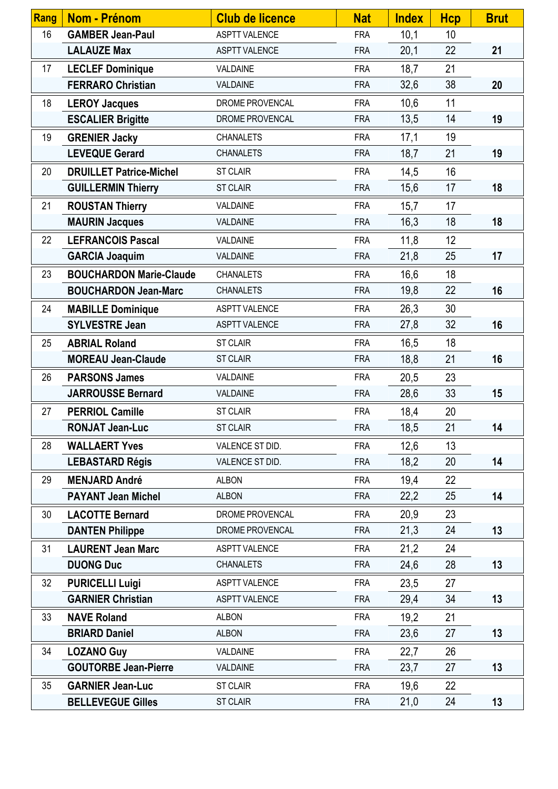| Rang | Nom - Prénom                   | <b>Club de licence</b> | <b>Nat</b> | <b>Index</b> | <b>Hcp</b> | <b>Brut</b> |
|------|--------------------------------|------------------------|------------|--------------|------------|-------------|
| 16   | <b>GAMBER Jean-Paul</b>        | <b>ASPTT VALENCE</b>   | <b>FRA</b> | 10,1         | 10         |             |
|      | <b>LALAUZE Max</b>             | <b>ASPTT VALENCE</b>   | <b>FRA</b> | 20,1         | 22         | 21          |
| 17   | <b>LECLEF Dominique</b>        | VALDAINE               | <b>FRA</b> | 18,7         | 21         |             |
|      | <b>FERRARO Christian</b>       | VALDAINE               | <b>FRA</b> | 32,6         | 38         | 20          |
| 18   | <b>LEROY Jacques</b>           | DROME PROVENCAL        | <b>FRA</b> | 10,6         | 11         |             |
|      | <b>ESCALIER Brigitte</b>       | DROME PROVENCAL        | <b>FRA</b> | 13,5         | 14         | 19          |
| 19   | <b>GRENIER Jacky</b>           | <b>CHANALETS</b>       | <b>FRA</b> | 17,1         | 19         |             |
|      | <b>LEVEQUE Gerard</b>          | <b>CHANALETS</b>       | <b>FRA</b> | 18,7         | 21         | 19          |
| 20   | <b>DRUILLET Patrice-Michel</b> | <b>ST CLAIR</b>        | <b>FRA</b> | 14,5         | 16         |             |
|      | <b>GUILLERMIN Thierry</b>      | <b>ST CLAIR</b>        | <b>FRA</b> | 15,6         | 17         | 18          |
| 21   | <b>ROUSTAN Thierry</b>         | VALDAINE               | <b>FRA</b> | 15,7         | 17         |             |
|      | <b>MAURIN Jacques</b>          | VALDAINE               | <b>FRA</b> | 16,3         | 18         | 18          |
| 22   | <b>LEFRANCOIS Pascal</b>       | VALDAINE               | <b>FRA</b> | 11,8         | 12         |             |
|      | <b>GARCIA Joaquim</b>          | VALDAINE               | <b>FRA</b> | 21,8         | 25         | 17          |
| 23   | <b>BOUCHARDON Marie-Claude</b> | <b>CHANALETS</b>       | <b>FRA</b> | 16,6         | 18         |             |
|      | <b>BOUCHARDON Jean-Marc</b>    | <b>CHANALETS</b>       | <b>FRA</b> | 19,8         | 22         | 16          |
| 24   | <b>MABILLE Dominique</b>       | <b>ASPTT VALENCE</b>   | <b>FRA</b> | 26,3         | 30         |             |
|      | <b>SYLVESTRE Jean</b>          | <b>ASPTT VALENCE</b>   | <b>FRA</b> | 27,8         | 32         | 16          |
| 25   | <b>ABRIAL Roland</b>           | <b>ST CLAIR</b>        | <b>FRA</b> | 16,5         | 18         |             |
|      | <b>MOREAU Jean-Claude</b>      | <b>ST CLAIR</b>        | <b>FRA</b> | 18,8         | 21         | 16          |
| 26   | <b>PARSONS James</b>           | VALDAINE               | <b>FRA</b> | 20,5         | 23         |             |
|      | <b>JARROUSSE Bernard</b>       | VALDAINE               | <b>FRA</b> | 28,6         | 33         | 15          |
| 27   | <b>PERRIOL Camille</b>         | <b>ST CLAIR</b>        | <b>FRA</b> | 18,4         | 20         |             |
|      | <b>RONJAT Jean-Luc</b>         | <b>ST CLAIR</b>        | <b>FRA</b> | 18,5         | 21         | 14          |
| 28   | <b>WALLAERT Yves</b>           | VALENCE ST DID.        | <b>FRA</b> | 12,6         | 13         |             |
|      | <b>LEBASTARD Régis</b>         | VALENCE ST DID.        | <b>FRA</b> | 18,2         | 20         | 14          |
| 29   | <b>MENJARD André</b>           | <b>ALBON</b>           | <b>FRA</b> | 19,4         | 22         |             |
|      | <b>PAYANT Jean Michel</b>      | <b>ALBON</b>           | <b>FRA</b> | 22,2         | 25         | 14          |
| 30   | <b>LACOTTE Bernard</b>         | DROME PROVENCAL        | <b>FRA</b> | 20,9         | 23         |             |
|      | <b>DANTEN Philippe</b>         | DROME PROVENCAL        | <b>FRA</b> | 21,3         | 24         | 13          |
| 31   | <b>LAURENT Jean Marc</b>       | <b>ASPTT VALENCE</b>   | <b>FRA</b> | 21,2         | 24         |             |
|      | <b>DUONG Duc</b>               | <b>CHANALETS</b>       | <b>FRA</b> | 24,6         | 28         | 13          |
| 32   | <b>PURICELLI Luigi</b>         | <b>ASPTT VALENCE</b>   | <b>FRA</b> | 23,5         | 27         |             |
|      | <b>GARNIER Christian</b>       | <b>ASPTT VALENCE</b>   | <b>FRA</b> | 29,4         | 34         | 13          |
| 33   | <b>NAVE Roland</b>             | <b>ALBON</b>           | <b>FRA</b> | 19,2         | 21         |             |
|      | <b>BRIARD Daniel</b>           | <b>ALBON</b>           | <b>FRA</b> | 23,6         | 27         | 13          |
| 34   | <b>LOZANO Guy</b>              | VALDAINE               | <b>FRA</b> | 22,7         | 26         |             |
|      | <b>GOUTORBE Jean-Pierre</b>    | VALDAINE               | <b>FRA</b> | 23,7         | 27         | 13          |
| 35   | <b>GARNIER Jean-Luc</b>        | ST CLAIR               | <b>FRA</b> | 19,6         | 22         |             |
|      | <b>BELLEVEGUE Gilles</b>       | <b>ST CLAIR</b>        | <b>FRA</b> | 21,0         | 24         | 13          |